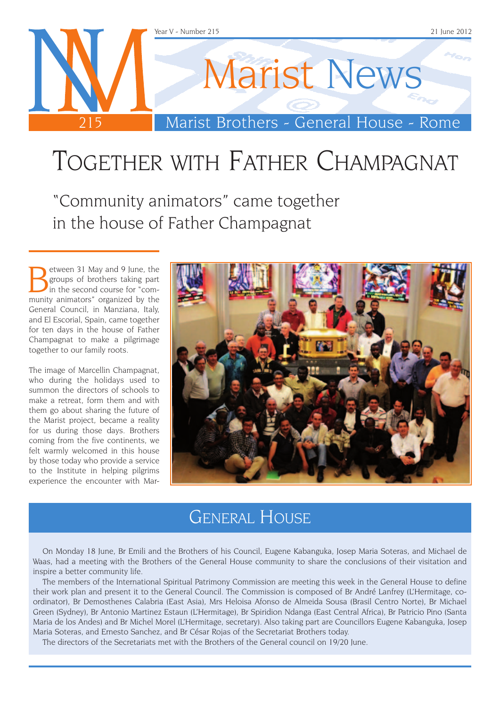

# Together with Father Champagnat

"Community animators" came together in the house of Father Champagnat

Between 31 May and 9 June, the<br>groups of brothers taking part<br>in the second course for "com-<br>munity animators" organized by the groups of brothers taking part munity animators" organized by the General Council, in Manziana, Italy, and El Escorial, Spain, came together for ten days in the house of Father Champagnat to make a pilgrimage together to our family roots.

The image of Marcellin Champagnat, who during the holidays used to summon the directors of schools to make a retreat, form them and with them go about sharing the future of the Marist project, became a reality for us during those days. Brothers coming from the five continents, we felt warmly welcomed in this house by those today who provide a service to the Institute in helping pilgrims experience the encounter with Mar-



### General House

On Monday 18 June, Br Emili and the Brothers of his Council, Eugene Kabanguka, Josep Maria Soteras, and Michael de Waas, had a meeting with the Brothers of the General House community to share the conclusions of their visitation and inspire a better community life.

The members of the International Spiritual Patrimony Commission are meeting this week in the General House to define their work plan and present it to the General Council. The Commission is composed of Br André Lanfrey (L'Hermitage, coordinator), Br Demosthenes Calabria (East Asia), Mrs Heloisa Afonso de Almeida Sousa (Brasil Centro Norte), Br Michael Green (Sydney), Br Antonio Martinez Estaun (L'Hermitage), Br Spiridion Ndanga (East Central Africa), Br Patricio Pino (Santa Maria de los Andes) and Br Michel Morel (L'Hermitage, secretary). Also taking part are Councillors Eugene Kabanguka, Josep Maria Soteras, and Ernesto Sanchez, and Br César Rojas of the Secretariat Brothers today.

The directors of the Secretariats met with the Brothers of the General council on 19/20 June.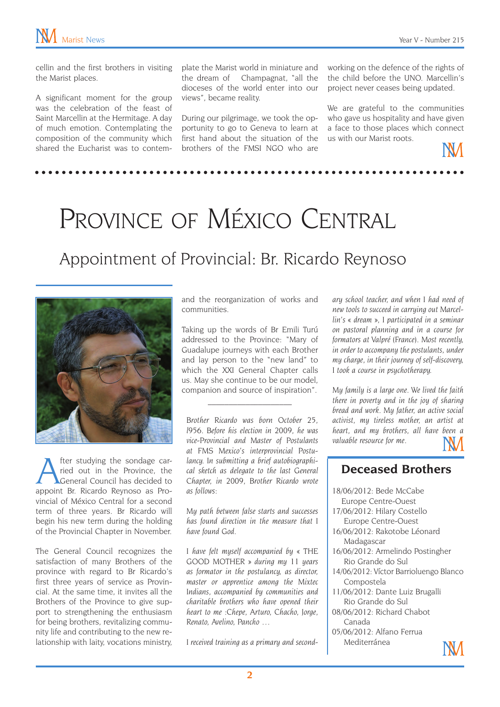cellin and the first brothers in visiting the Marist places.

A significant moment for the group was the celebration of the feast of Saint Marcellin at the Hermitage. A day of much emotion. Contemplating the composition of the community which shared the Eucharist was to contem-

plate the Marist world in miniature and the dream of Champagnat, "all the dioceses of the world enter into our views", became reality.

During our pilgrimage, we took the opportunity to go to Geneva to learn at first hand about the situation of the brothers of the FMSI NGO who are

working on the defence of the rights of the child before the UNO. Marcellin's project never ceases being updated.

We are grateful to the communities who gave us hospitality and have given a face to those places which connect us with our Marist roots.



## PROVINCE OF MÉXICO CENTRAL

### Appointment of Provincial: Br. Ricardo Reynoso



After studying the sondage car-<br>ried out in the Province, the<br>General Council has decided to ried out in the Province, the General Council has decided to appoint Br. Ricardo Reynoso as Provincial of México Central for a second term of three years. Br Ricardo will begin his new term during the holding of the Provincial Chapter in November.

The General Council recognizes the satisfaction of many Brothers of the province with regard to Br Ricardo's first three years of service as Provincial. At the same time, it invites all the Brothers of the Province to give support to strengthening the enthusiasm for being brothers, revitalizing community life and contributing to the new relationship with laity, vocations ministry, and the reorganization of works and communities.

Taking up the words of Br Emili Turú addressed to the Province: "Mary of Guadalupe journeys with each Brother and lay person to the "new land" to which the XXI General Chapter calls us. May she continue to be our model, companion and source of inspiration".

 $\mathcal{L}_\text{max}$ 

*Brother Ricardo was born October 25, l956. Before his election in 2009, he was vice-Provincial and Master of Postulants at FMS Mexico's interprovincial Postulancy. In submitting a brief autobiographical sketch as delegate to the last General Chapter, in 2009, Brother Ricardo wrote as follows:* 

*My path between false starts and successes has found direction in the measure that I have found God.*

*I have felt myself accompanied by « THE GOOD MOTHER » during my 11 years as formator in the postulancy, as director, master or apprentice among the Mixtec Indians, accompanied by communities and charitable brothers who have opened their heart to me :Chepe, Arturo, Chacho, Jorge, Renato, Avelino, Pancho …*

*I received training as a primary and second-*

*ary school teacher, and when I had need of new tools to succeed in carrying out Marcellin's « dream », I participated in a seminar on pastoral planning and in a course for formators at Valpré (France). Most recently, in order to accompany the postulants, under my charge, in their journey of self-discovery, I took a course in psychotherapy.*

*My family is a large one. We lived the faith there in poverty and in the joy of sharing bread and work. My father, an active social activist, my tireless mother, an artist at heart, and my brothers, all have been a valuable resource for me.*

#### **Deceased Brothers**

| 18/06/2012: Bede McCabe                |
|----------------------------------------|
| Europe Centre-Ouest                    |
| 17/06/2012: Hilary Costello            |
| Europe Centre-Ouest                    |
| 16/06/2012: Rakotobe Léonard           |
| Madagascar                             |
| 16/06/2012: Armelindo Postingher       |
| Rio Grande do Sul                      |
| 14/06/2012: Víctor Barrioluengo Blanco |
| Compostela                             |
| 11/06/2012: Dante Luiz Brugalli        |
| Rio Grande do Sul                      |
| 08/06/2012: Richard Chabot             |
| Canada                                 |
| 05/06/2012: Alfano Ferrua              |
| Mediterránea                           |
|                                        |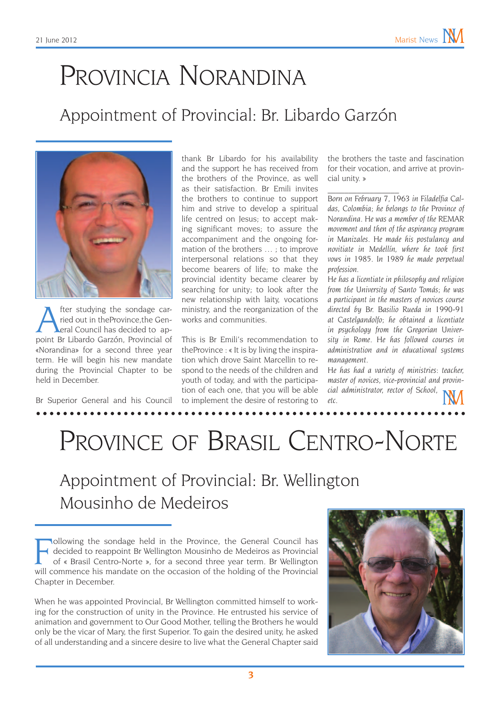## Provincia Norandina

### Appointment of Provincial: Br. Libardo Garzón



fter studying the sondage carried out in theProvince,the General Council has decided to appoint Br Libardo Garzón, Provincial of «Norandina» for a second three year term. He will begin his new mandate during the Provincial Chapter to be held in December.

Br Superior General and his Council

thank Br Libardo for his availability and the support he has received from the brothers of the Province, as well as their satisfaction. Br Emili invites the brothers to continue to support him and strive to develop a spiritual life centred on Jesus; to accept making significant moves; to assure the accompaniment and the ongoing formation of the brothers … ; to improve interpersonal relations so that they become bearers of life; to make the provincial identity became clearer by searching for unity; to look after the new relationship with laity, vocations ministry, and the reorganization of the works and communities.

This is Br Emili's recommendation to theProvince : « It is by living the inspiration which drove Saint Marcellin to respond to the needs of the children and youth of today, and with the participation of each one, that you will be able to implement the desire of restoring to

the brothers the taste and fascination for their vocation, and arrive at provincial unity. »

 $\mathcal{L}_\text{max}$ *Born on February 7, 1963 in Filadelfia Caldas, Colombia; he belongs to the Province of Norandina. He was a member of the REMAR movement and then of the aspirancy program in Manizales. He made his postulancy and novitiate in Medellín, where he took first vows in 1985. In 1989 he made perpetual profession.*

*He has a licentiate in philosophy and religion from the University of Santo Tomás; he was a participant in the masters of novices course directed by Br. Basilio Rueda in 1990-91 at Castelgandolfo; he obtained a licentiate in psychology from the Gregorian University in Rome. He has followed courses in administration and in educational systems management.*

*He has had a variety of ministries: teacher, master of novices, vice-provincial and provincial administrator, rector of School, etc.*

### PROVINCE OF BRASIL CENTRO-NORTE

Appointment of Provincial: Br. Wellington Mousinho de Medeiros

When he was appointed Provincial, Br Wellington committed himself to working for the construction of unity in the Province. He entrusted his service of animation and government to Our Good Mother, telling the Brothers he would only be the vicar of Mary, the first Superior. To gain the desired unity, he asked of all understanding and a sincere desire to live what the General Chapter said



Following the sondage held in the Province, the General Council has<br>decided to reappoint Br Wellington Mousinho de Medeiros as Provincial<br>of « Brasil Centro-Norte », for a second three year term. Br Wellington<br>will commenc ollowing the sondage held in the Province, the General Council has decided to reappoint Br Wellington Mousinho de Medeiros as Provincial of « Brasil Centro-Norte », for a second three year term. Br Wellington Chapter in December.